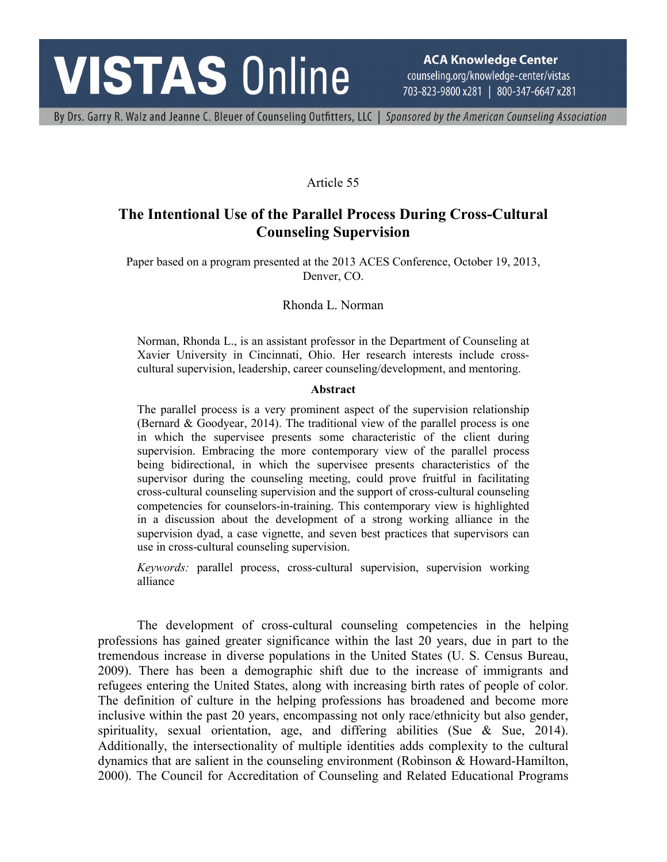# **VISTAS Online**

**ACA Knowledge Center** counseling.org/knowledge-center/vistas 703-823-9800 x281 | 800-347-6647 x281

By Drs. Garry R. Walz and Jeanne C. Bleuer of Counseling Outfitters, LLC | Sponsored by the American Counseling Association

## Article 55

## **The Intentional Use of the Parallel Process During Cross-Cultural Counseling Supervision**

Paper based on a program presented at the 2013 ACES Conference, October 19, 2013, Denver, CO.

Rhonda L. Norman

Norman, Rhonda L., is an assistant professor in the Department of Counseling at Xavier University in Cincinnati, Ohio. Her research interests include crosscultural supervision, leadership, career counseling/development, and mentoring.

#### **Abstract**

The parallel process is a very prominent aspect of the supervision relationship (Bernard & Goodyear, 2014). The traditional view of the parallel process is one in which the supervisee presents some characteristic of the client during supervision. Embracing the more contemporary view of the parallel process being bidirectional, in which the supervisee presents characteristics of the supervisor during the counseling meeting, could prove fruitful in facilitating cross-cultural counseling supervision and the support of cross-cultural counseling competencies for counselors-in-training. This contemporary view is highlighted in a discussion about the development of a strong working alliance in the supervision dyad, a case vignette, and seven best practices that supervisors can use in cross-cultural counseling supervision.

*Keywords:* parallel process, cross-cultural supervision, supervision working alliance

The development of cross-cultural counseling competencies in the helping professions has gained greater significance within the last 20 years, due in part to the tremendous increase in diverse populations in the United States (U. S. Census Bureau, 2009). There has been a demographic shift due to the increase of immigrants and refugees entering the United States, along with increasing birth rates of people of color. The definition of culture in the helping professions has broadened and become more inclusive within the past 20 years, encompassing not only race/ethnicity but also gender, spirituality, sexual orientation, age, and differing abilities (Sue & Sue, 2014). Additionally, the intersectionality of multiple identities adds complexity to the cultural dynamics that are salient in the counseling environment (Robinson & Howard-Hamilton, 2000). The Council for Accreditation of Counseling and Related Educational Programs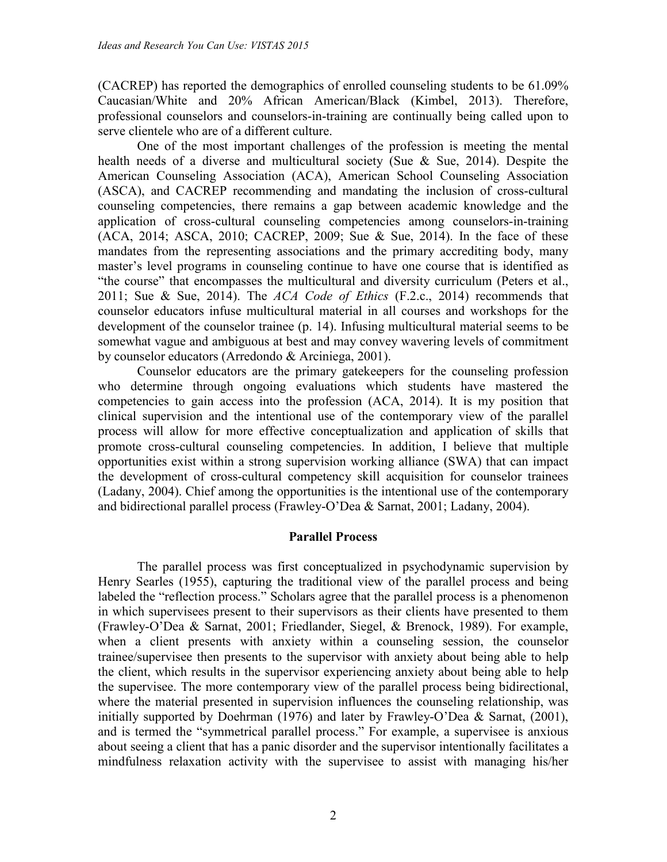(CACREP) has reported the demographics of enrolled counseling students to be 61.09% Caucasian/White and 20% African American/Black (Kimbel, 2013). Therefore, professional counselors and counselors-in-training are continually being called upon to serve clientele who are of a different culture.

One of the most important challenges of the profession is meeting the mental health needs of a diverse and multicultural society (Sue & Sue, 2014). Despite the American Counseling Association (ACA), American School Counseling Association (ASCA), and CACREP recommending and mandating the inclusion of cross-cultural counseling competencies, there remains a gap between academic knowledge and the application of cross-cultural counseling competencies among counselors-in-training (ACA, 2014; ASCA, 2010; CACREP, 2009; Sue & Sue, 2014). In the face of these mandates from the representing associations and the primary accrediting body, many master's level programs in counseling continue to have one course that is identified as "the course" that encompasses the multicultural and diversity curriculum (Peters et al., 2011; Sue & Sue, 2014). The *ACA Code of Ethics* (F.2.c., 2014) recommends that counselor educators infuse multicultural material in all courses and workshops for the development of the counselor trainee (p. 14). Infusing multicultural material seems to be somewhat vague and ambiguous at best and may convey wavering levels of commitment by counselor educators (Arredondo & Arciniega, 2001).

Counselor educators are the primary gatekeepers for the counseling profession who determine through ongoing evaluations which students have mastered the competencies to gain access into the profession (ACA, 2014). It is my position that clinical supervision and the intentional use of the contemporary view of the parallel process will allow for more effective conceptualization and application of skills that promote cross-cultural counseling competencies. In addition, I believe that multiple opportunities exist within a strong supervision working alliance (SWA) that can impact the development of cross-cultural competency skill acquisition for counselor trainees (Ladany, 2004). Chief among the opportunities is the intentional use of the contemporary and bidirectional parallel process (Frawley-O'Dea & Sarnat, 2001; Ladany, 2004).

## **Parallel Process**

The parallel process was first conceptualized in psychodynamic supervision by Henry Searles (1955), capturing the traditional view of the parallel process and being labeled the "reflection process." Scholars agree that the parallel process is a phenomenon in which supervisees present to their supervisors as their clients have presented to them (Frawley-O'Dea & Sarnat, 2001; Friedlander, Siegel, & Brenock, 1989). For example, when a client presents with anxiety within a counseling session, the counselor trainee/supervisee then presents to the supervisor with anxiety about being able to help the client, which results in the supervisor experiencing anxiety about being able to help the supervisee. The more contemporary view of the parallel process being bidirectional, where the material presented in supervision influences the counseling relationship, was initially supported by Doehrman (1976) and later by Frawley-O'Dea & Sarnat, (2001), and is termed the "symmetrical parallel process." For example, a supervisee is anxious about seeing a client that has a panic disorder and the supervisor intentionally facilitates a mindfulness relaxation activity with the supervisee to assist with managing his/her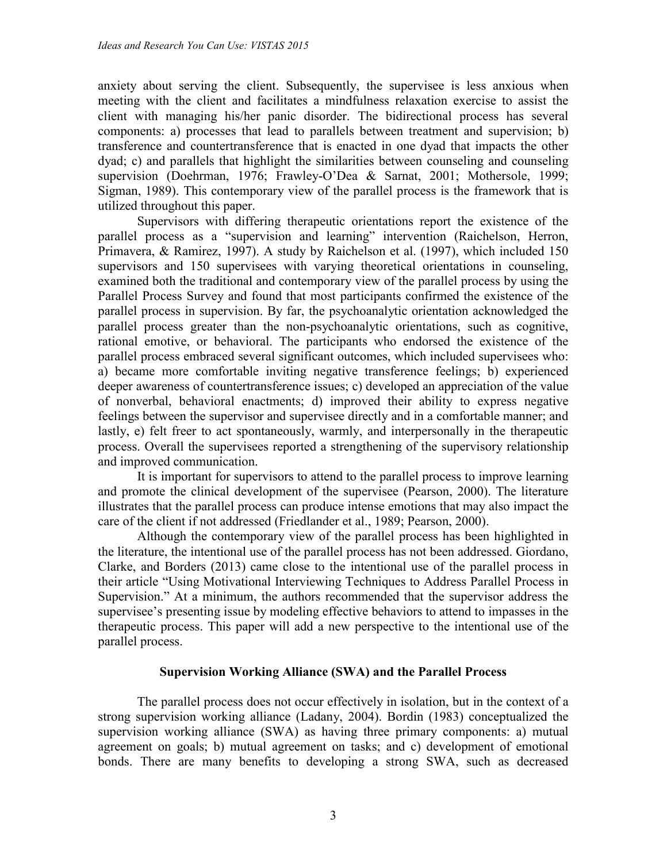anxiety about serving the client. Subsequently, the supervisee is less anxious when meeting with the client and facilitates a mindfulness relaxation exercise to assist the client with managing his/her panic disorder. The bidirectional process has several components: a) processes that lead to parallels between treatment and supervision; b) transference and countertransference that is enacted in one dyad that impacts the other dyad; c) and parallels that highlight the similarities between counseling and counseling supervision (Doehrman, 1976; Frawley-O'Dea & Sarnat, 2001; Mothersole, 1999; Sigman, 1989). This contemporary view of the parallel process is the framework that is utilized throughout this paper.

Supervisors with differing therapeutic orientations report the existence of the parallel process as a "supervision and learning" intervention (Raichelson, Herron, Primavera, & Ramirez, 1997). A study by Raichelson et al. (1997), which included 150 supervisors and 150 supervisees with varying theoretical orientations in counseling, examined both the traditional and contemporary view of the parallel process by using the Parallel Process Survey and found that most participants confirmed the existence of the parallel process in supervision. By far, the psychoanalytic orientation acknowledged the parallel process greater than the non-psychoanalytic orientations, such as cognitive, rational emotive, or behavioral. The participants who endorsed the existence of the parallel process embraced several significant outcomes, which included supervisees who: a) became more comfortable inviting negative transference feelings; b) experienced deeper awareness of countertransference issues; c) developed an appreciation of the value of nonverbal, behavioral enactments; d) improved their ability to express negative feelings between the supervisor and supervisee directly and in a comfortable manner; and lastly, e) felt freer to act spontaneously, warmly, and interpersonally in the therapeutic process. Overall the supervisees reported a strengthening of the supervisory relationship and improved communication.

It is important for supervisors to attend to the parallel process to improve learning and promote the clinical development of the supervisee (Pearson, 2000). The literature illustrates that the parallel process can produce intense emotions that may also impact the care of the client if not addressed (Friedlander et al., 1989; Pearson, 2000).

Although the contemporary view of the parallel process has been highlighted in the literature, the intentional use of the parallel process has not been addressed. Giordano, Clarke, and Borders (2013) came close to the intentional use of the parallel process in their article "Using Motivational Interviewing Techniques to Address Parallel Process in Supervision." At a minimum, the authors recommended that the supervisor address the supervisee's presenting issue by modeling effective behaviors to attend to impasses in the therapeutic process. This paper will add a new perspective to the intentional use of the parallel process.

## **Supervision Working Alliance (SWA) and the Parallel Process**

The parallel process does not occur effectively in isolation, but in the context of a strong supervision working alliance (Ladany, 2004). Bordin (1983) conceptualized the supervision working alliance (SWA) as having three primary components: a) mutual agreement on goals; b) mutual agreement on tasks; and c) development of emotional bonds. There are many benefits to developing a strong SWA, such as decreased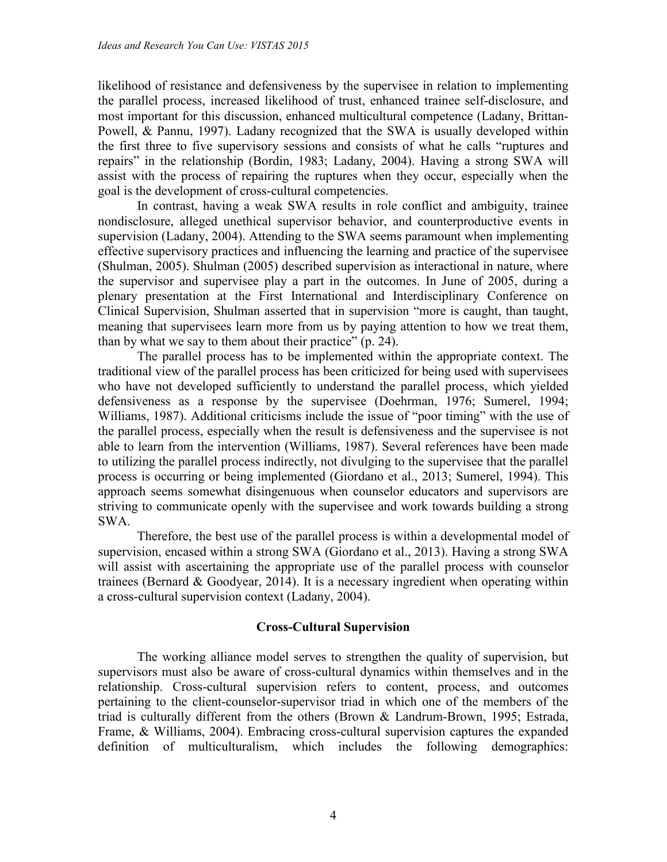likelihood of resistance and defensiveness by the supervisee in relation to implementing the parallel process, increased likelihood of trust, enhanced trainee self-disclosure, and most important for this discussion, enhanced multicultural competence (Ladany, Brittan-Powell, & Pannu, 1997). Ladany recognized that the SWA is usually developed within the first three to five supervisory sessions and consists of what he calls "ruptures and repairs" in the relationship (Bordin, 1983; Ladany, 2004). Having a strong SWA will assist with the process of repairing the ruptures when they occur, especially when the goal is the development of cross-cultural competencies.

In contrast, having a weak SWA results in role conflict and ambiguity, trainee nondisclosure, alleged unethical supervisor behavior, and counterproductive events in supervision (Ladany, 2004). Attending to the SWA seems paramount when implementing effective supervisory practices and influencing the learning and practice of the supervisee (Shulman, 2005). Shulman (2005) described supervision as interactional in nature, where the supervisor and supervisee play a part in the outcomes. In June of 2005, during a plenary presentation at the First International and Interdisciplinary Conference on Clinical Supervision, Shulman asserted that in supervision "more is caught, than taught, meaning that supervisees learn more from us by paying attention to how we treat them, than by what we say to them about their practice" (p. 24).

The parallel process has to be implemented within the appropriate context. The traditional view of the parallel process has been criticized for being used with supervisees who have not developed sufficiently to understand the parallel process, which yielded defensiveness as a response by the supervisee (Doehrman, 1976; Sumerel, 1994; Williams, 1987). Additional criticisms include the issue of "poor timing" with the use of the parallel process, especially when the result is defensiveness and the supervisee is not able to learn from the intervention (Williams, 1987). Several references have been made to utilizing the parallel process indirectly, not divulging to the supervisee that the parallel process is occurring or being implemented (Giordano et al., 2013; Sumerel, 1994). This approach seems somewhat disingenuous when counselor educators and supervisors are striving to communicate openly with the supervisee and work towards building a strong SWA.

Therefore, the best use of the parallel process is within a developmental model of supervision, encased within a strong SWA (Giordano et al., 2013). Having a strong SWA will assist with ascertaining the appropriate use of the parallel process with counselor trainees (Bernard & Goodyear, 2014). It is a necessary ingredient when operating within a cross-cultural supervision context (Ladany, 2004).

## **Cross-Cultural Supervision**

The working alliance model serves to strengthen the quality of supervision, but supervisors must also be aware of cross-cultural dynamics within themselves and in the relationship. Cross-cultural supervision refers to content, process, and outcomes pertaining to the client-counselor-supervisor triad in which one of the members of the triad is culturally different from the others (Brown & Landrum-Brown, 1995; Estrada, Frame, & Williams, 2004). Embracing cross-cultural supervision captures the expanded definition of multiculturalism, which includes the following demographics: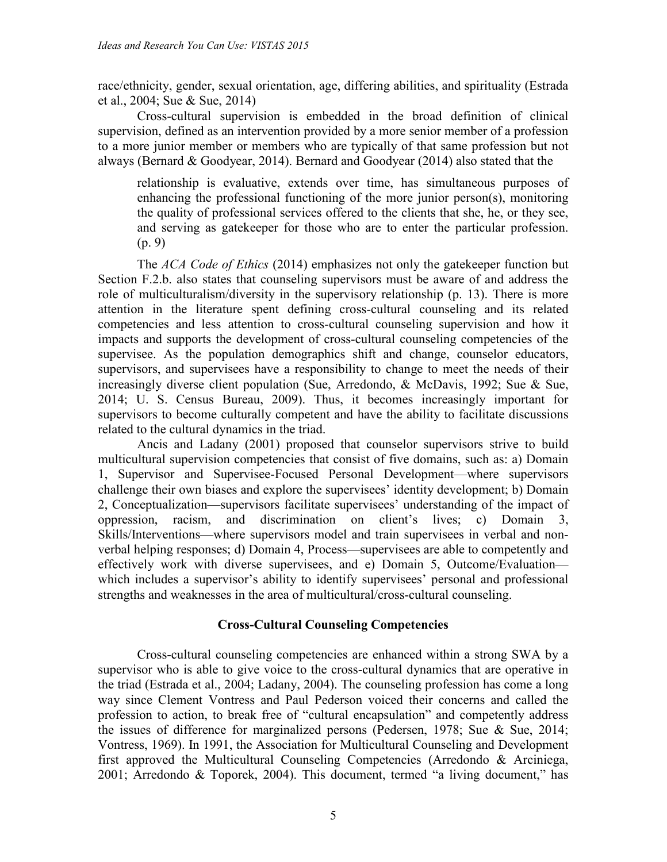race/ethnicity, gender, sexual orientation, age, differing abilities, and spirituality (Estrada et al., 2004; Sue & Sue, 2014)

Cross-cultural supervision is embedded in the broad definition of clinical supervision, defined as an intervention provided by a more senior member of a profession to a more junior member or members who are typically of that same profession but not always (Bernard & Goodyear, 2014). Bernard and Goodyear (2014) also stated that the

relationship is evaluative, extends over time, has simultaneous purposes of enhancing the professional functioning of the more junior person(s), monitoring the quality of professional services offered to the clients that she, he, or they see, and serving as gatekeeper for those who are to enter the particular profession. (p. 9)

The *ACA Code of Ethics* (2014) emphasizes not only the gatekeeper function but Section F.2.b. also states that counseling supervisors must be aware of and address the role of multiculturalism/diversity in the supervisory relationship (p. 13). There is more attention in the literature spent defining cross-cultural counseling and its related competencies and less attention to cross-cultural counseling supervision and how it impacts and supports the development of cross-cultural counseling competencies of the supervisee. As the population demographics shift and change, counselor educators, supervisors, and supervisees have a responsibility to change to meet the needs of their increasingly diverse client population (Sue, Arredondo, & McDavis, 1992; Sue & Sue, 2014; U. S. Census Bureau, 2009). Thus, it becomes increasingly important for supervisors to become culturally competent and have the ability to facilitate discussions related to the cultural dynamics in the triad.

Ancis and Ladany (2001) proposed that counselor supervisors strive to build multicultural supervision competencies that consist of five domains, such as: a) Domain 1, Supervisor and Supervisee-Focused Personal Development—where supervisors challenge their own biases and explore the supervisees' identity development; b) Domain 2, Conceptualization—supervisors facilitate supervisees' understanding of the impact of oppression, racism, and discrimination on client's lives; c) Domain 3, Skills/Interventions—where supervisors model and train supervisees in verbal and nonverbal helping responses; d) Domain 4, Process—supervisees are able to competently and effectively work with diverse supervisees, and e) Domain 5, Outcome/Evaluation which includes a supervisor's ability to identify supervisees' personal and professional strengths and weaknesses in the area of multicultural/cross-cultural counseling.

## **Cross-Cultural Counseling Competencies**

Cross-cultural counseling competencies are enhanced within a strong SWA by a supervisor who is able to give voice to the cross-cultural dynamics that are operative in the triad (Estrada et al., 2004; Ladany, 2004). The counseling profession has come a long way since Clement Vontress and Paul Pederson voiced their concerns and called the profession to action, to break free of "cultural encapsulation" and competently address the issues of difference for marginalized persons (Pedersen, 1978; Sue & Sue, 2014; Vontress, 1969). In 1991, the Association for Multicultural Counseling and Development first approved the Multicultural Counseling Competencies (Arredondo & Arciniega, 2001; Arredondo & Toporek, 2004). This document, termed "a living document," has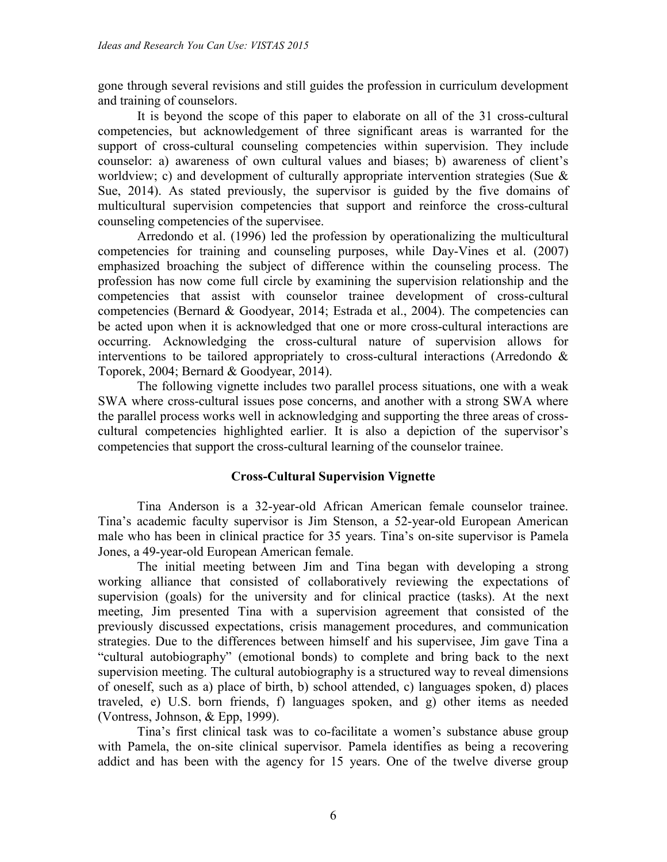gone through several revisions and still guides the profession in curriculum development and training of counselors.

It is beyond the scope of this paper to elaborate on all of the 31 cross-cultural competencies, but acknowledgement of three significant areas is warranted for the support of cross-cultural counseling competencies within supervision. They include counselor: a) awareness of own cultural values and biases; b) awareness of client's worldview; c) and development of culturally appropriate intervention strategies (Sue & Sue, 2014). As stated previously, the supervisor is guided by the five domains of multicultural supervision competencies that support and reinforce the cross-cultural counseling competencies of the supervisee.

Arredondo et al. (1996) led the profession by operationalizing the multicultural competencies for training and counseling purposes, while Day-Vines et al. (2007) emphasized broaching the subject of difference within the counseling process. The profession has now come full circle by examining the supervision relationship and the competencies that assist with counselor trainee development of cross-cultural competencies (Bernard & Goodyear, 2014; Estrada et al., 2004). The competencies can be acted upon when it is acknowledged that one or more cross-cultural interactions are occurring. Acknowledging the cross-cultural nature of supervision allows for interventions to be tailored appropriately to cross-cultural interactions (Arredondo & Toporek, 2004; Bernard & Goodyear, 2014).

The following vignette includes two parallel process situations, one with a weak SWA where cross-cultural issues pose concerns, and another with a strong SWA where the parallel process works well in acknowledging and supporting the three areas of crosscultural competencies highlighted earlier. It is also a depiction of the supervisor's competencies that support the cross-cultural learning of the counselor trainee.

## **Cross-Cultural Supervision Vignette**

Tina Anderson is a 32-year-old African American female counselor trainee. Tina's academic faculty supervisor is Jim Stenson, a 52-year-old European American male who has been in clinical practice for 35 years. Tina's on-site supervisor is Pamela Jones, a 49-year-old European American female.

The initial meeting between Jim and Tina began with developing a strong working alliance that consisted of collaboratively reviewing the expectations of supervision (goals) for the university and for clinical practice (tasks). At the next meeting, Jim presented Tina with a supervision agreement that consisted of the previously discussed expectations, crisis management procedures, and communication strategies. Due to the differences between himself and his supervisee, Jim gave Tina a "cultural autobiography" (emotional bonds) to complete and bring back to the next supervision meeting. The cultural autobiography is a structured way to reveal dimensions of oneself, such as a) place of birth, b) school attended, c) languages spoken, d) places traveled, e) U.S. born friends, f) languages spoken, and g) other items as needed (Vontress, Johnson, & Epp, 1999).

Tina's first clinical task was to co-facilitate a women's substance abuse group with Pamela, the on-site clinical supervisor. Pamela identifies as being a recovering addict and has been with the agency for 15 years. One of the twelve diverse group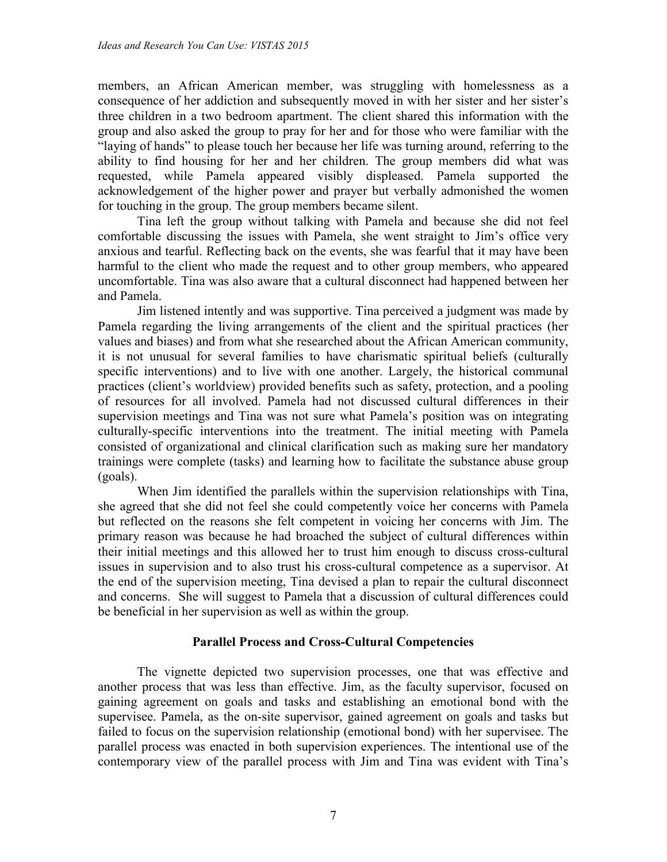members, an African American member, was struggling with homelessness as a consequence of her addiction and subsequently moved in with her sister and her sister's three children in a two bedroom apartment. The client shared this information with the group and also asked the group to pray for her and for those who were familiar with the "laying of hands" to please touch her because her life was turning around, referring to the ability to find housing for her and her children. The group members did what was requested, while Pamela appeared visibly displeased. Pamela supported the acknowledgement of the higher power and prayer but verbally admonished the women for touching in the group. The group members became silent.

Tina left the group without talking with Pamela and because she did not feel comfortable discussing the issues with Pamela, she went straight to Jim's office very anxious and tearful. Reflecting back on the events, she was fearful that it may have been harmful to the client who made the request and to other group members, who appeared uncomfortable. Tina was also aware that a cultural disconnect had happened between her and Pamela.

Jim listened intently and was supportive. Tina perceived a judgment was made by Pamela regarding the living arrangements of the client and the spiritual practices (her values and biases) and from what she researched about the African American community, it is not unusual for several families to have charismatic spiritual beliefs (culturally specific interventions) and to live with one another. Largely, the historical communal practices (client's worldview) provided benefits such as safety, protection, and a pooling of resources for all involved. Pamela had not discussed cultural differences in their supervision meetings and Tina was not sure what Pamela's position was on integrating culturally-specific interventions into the treatment. The initial meeting with Pamela consisted of organizational and clinical clarification such as making sure her mandatory trainings were complete (tasks) and learning how to facilitate the substance abuse group (goals).

When Jim identified the parallels within the supervision relationships with Tina, she agreed that she did not feel she could competently voice her concerns with Pamela but reflected on the reasons she felt competent in voicing her concerns with Jim. The primary reason was because he had broached the subject of cultural differences within their initial meetings and this allowed her to trust him enough to discuss cross-cultural issues in supervision and to also trust his cross-cultural competence as a supervisor. At the end of the supervision meeting, Tina devised a plan to repair the cultural disconnect and concerns. She will suggest to Pamela that a discussion of cultural differences could be beneficial in her supervision as well as within the group.

## **Parallel Process and Cross-Cultural Competencies**

The vignette depicted two supervision processes, one that was effective and another process that was less than effective. Jim, as the faculty supervisor, focused on gaining agreement on goals and tasks and establishing an emotional bond with the supervisee. Pamela, as the on-site supervisor, gained agreement on goals and tasks but failed to focus on the supervision relationship (emotional bond) with her supervisee. The parallel process was enacted in both supervision experiences. The intentional use of the contemporary view of the parallel process with Jim and Tina was evident with Tina's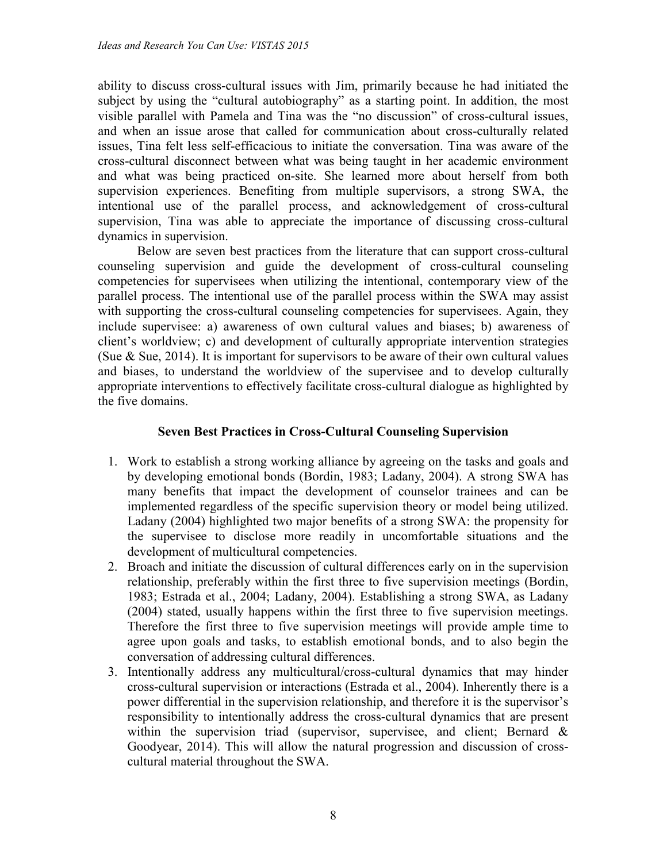ability to discuss cross-cultural issues with Jim, primarily because he had initiated the subject by using the "cultural autobiography" as a starting point. In addition, the most visible parallel with Pamela and Tina was the "no discussion" of cross-cultural issues, and when an issue arose that called for communication about cross-culturally related issues, Tina felt less self-efficacious to initiate the conversation. Tina was aware of the cross-cultural disconnect between what was being taught in her academic environment and what was being practiced on-site. She learned more about herself from both supervision experiences. Benefiting from multiple supervisors, a strong SWA, the intentional use of the parallel process, and acknowledgement of cross-cultural supervision, Tina was able to appreciate the importance of discussing cross-cultural dynamics in supervision.

Below are seven best practices from the literature that can support cross-cultural counseling supervision and guide the development of cross-cultural counseling competencies for supervisees when utilizing the intentional, contemporary view of the parallel process. The intentional use of the parallel process within the SWA may assist with supporting the cross-cultural counseling competencies for supervisees. Again, they include supervisee: a) awareness of own cultural values and biases; b) awareness of client's worldview; c) and development of culturally appropriate intervention strategies (Sue  $\&$  Sue, 2014). It is important for supervisors to be aware of their own cultural values and biases, to understand the worldview of the supervisee and to develop culturally appropriate interventions to effectively facilitate cross-cultural dialogue as highlighted by the five domains.

## **Seven Best Practices in Cross-Cultural Counseling Supervision**

- 1. Work to establish a strong working alliance by agreeing on the tasks and goals and by developing emotional bonds (Bordin, 1983; Ladany, 2004). A strong SWA has many benefits that impact the development of counselor trainees and can be implemented regardless of the specific supervision theory or model being utilized. Ladany (2004) highlighted two major benefits of a strong SWA: the propensity for the supervisee to disclose more readily in uncomfortable situations and the development of multicultural competencies.
- 2. Broach and initiate the discussion of cultural differences early on in the supervision relationship, preferably within the first three to five supervision meetings (Bordin, 1983; Estrada et al., 2004; Ladany, 2004). Establishing a strong SWA, as Ladany (2004) stated, usually happens within the first three to five supervision meetings. Therefore the first three to five supervision meetings will provide ample time to agree upon goals and tasks, to establish emotional bonds, and to also begin the conversation of addressing cultural differences.
- 3. Intentionally address any multicultural/cross-cultural dynamics that may hinder cross-cultural supervision or interactions (Estrada et al., 2004). Inherently there is a power differential in the supervision relationship, and therefore it is the supervisor's responsibility to intentionally address the cross-cultural dynamics that are present within the supervision triad (supervisor, supervisee, and client; Bernard & Goodyear, 2014). This will allow the natural progression and discussion of crosscultural material throughout the SWA.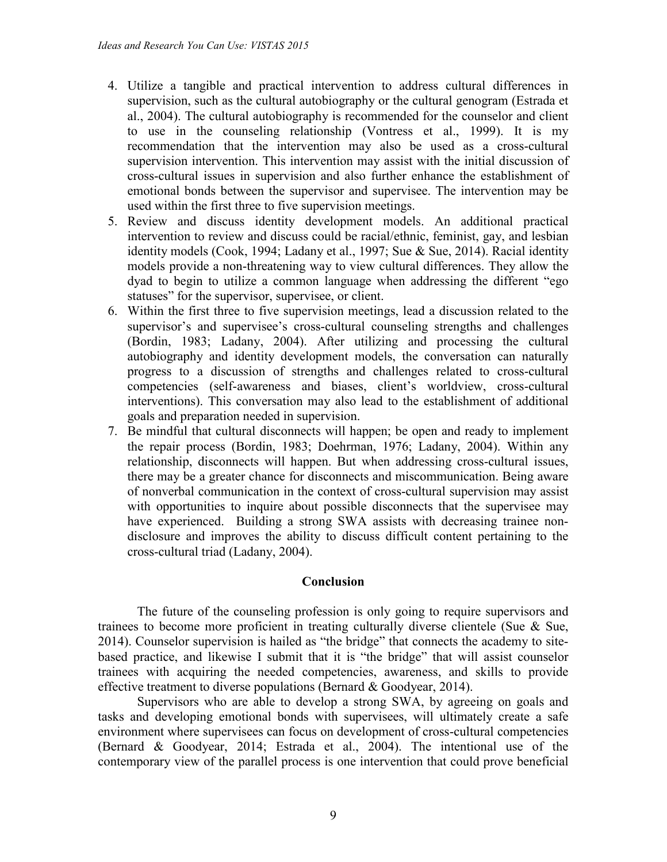- 4. Utilize a tangible and practical intervention to address cultural differences in supervision, such as the cultural autobiography or the cultural genogram (Estrada et al., 2004). The cultural autobiography is recommended for the counselor and client to use in the counseling relationship (Vontress et al., 1999). It is my recommendation that the intervention may also be used as a cross-cultural supervision intervention. This intervention may assist with the initial discussion of cross-cultural issues in supervision and also further enhance the establishment of emotional bonds between the supervisor and supervisee. The intervention may be used within the first three to five supervision meetings.
- 5. Review and discuss identity development models. An additional practical intervention to review and discuss could be racial/ethnic, feminist, gay, and lesbian identity models (Cook, 1994; Ladany et al., 1997; Sue & Sue, 2014). Racial identity models provide a non-threatening way to view cultural differences. They allow the dyad to begin to utilize a common language when addressing the different "ego statuses" for the supervisor, supervisee, or client.
- 6. Within the first three to five supervision meetings, lead a discussion related to the supervisor's and supervisee's cross-cultural counseling strengths and challenges (Bordin, 1983; Ladany, 2004). After utilizing and processing the cultural autobiography and identity development models, the conversation can naturally progress to a discussion of strengths and challenges related to cross-cultural competencies (self-awareness and biases, client's worldview, cross-cultural interventions). This conversation may also lead to the establishment of additional goals and preparation needed in supervision.
- 7. Be mindful that cultural disconnects will happen; be open and ready to implement the repair process (Bordin, 1983; Doehrman, 1976; Ladany, 2004). Within any relationship, disconnects will happen. But when addressing cross-cultural issues, there may be a greater chance for disconnects and miscommunication. Being aware of nonverbal communication in the context of cross-cultural supervision may assist with opportunities to inquire about possible disconnects that the supervisee may have experienced. Building a strong SWA assists with decreasing trainee nondisclosure and improves the ability to discuss difficult content pertaining to the cross-cultural triad (Ladany, 2004).

## **Conclusion**

The future of the counseling profession is only going to require supervisors and trainees to become more proficient in treating culturally diverse clientele (Sue & Sue, 2014). Counselor supervision is hailed as "the bridge" that connects the academy to sitebased practice, and likewise I submit that it is "the bridge" that will assist counselor trainees with acquiring the needed competencies, awareness, and skills to provide effective treatment to diverse populations (Bernard & Goodyear, 2014).

Supervisors who are able to develop a strong SWA, by agreeing on goals and tasks and developing emotional bonds with supervisees, will ultimately create a safe environment where supervisees can focus on development of cross-cultural competencies (Bernard & Goodyear, 2014; Estrada et al., 2004). The intentional use of the contemporary view of the parallel process is one intervention that could prove beneficial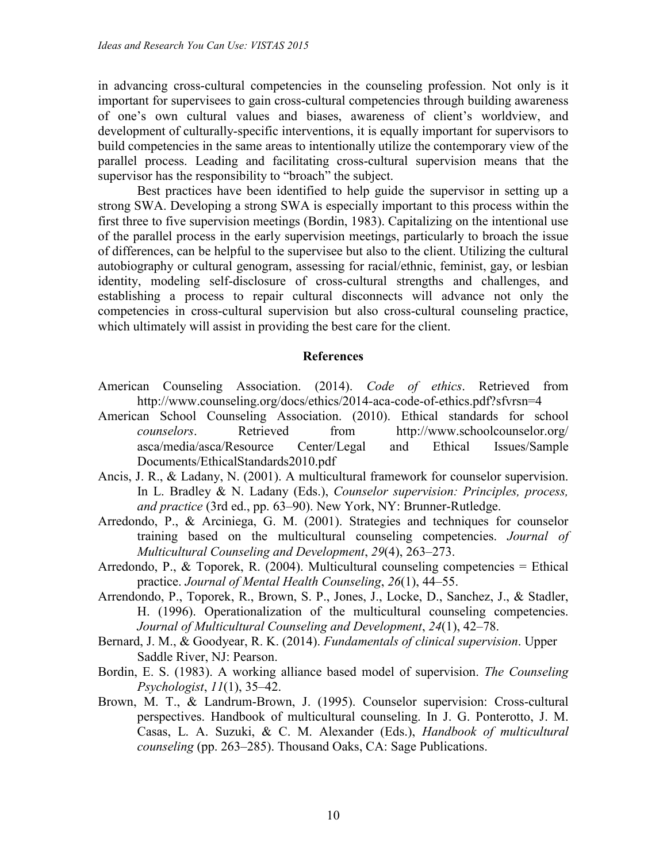in advancing cross-cultural competencies in the counseling profession. Not only is it important for supervisees to gain cross-cultural competencies through building awareness of one's own cultural values and biases, awareness of client's worldview, and development of culturally-specific interventions, it is equally important for supervisors to build competencies in the same areas to intentionally utilize the contemporary view of the parallel process. Leading and facilitating cross-cultural supervision means that the supervisor has the responsibility to "broach" the subject.

Best practices have been identified to help guide the supervisor in setting up a strong SWA. Developing a strong SWA is especially important to this process within the first three to five supervision meetings (Bordin, 1983). Capitalizing on the intentional use of the parallel process in the early supervision meetings, particularly to broach the issue of differences, can be helpful to the supervisee but also to the client. Utilizing the cultural autobiography or cultural genogram, assessing for racial/ethnic, feminist, gay, or lesbian identity, modeling self-disclosure of cross-cultural strengths and challenges, and establishing a process to repair cultural disconnects will advance not only the competencies in cross-cultural supervision but also cross-cultural counseling practice, which ultimately will assist in providing the best care for the client.

#### **References**

- American Counseling Association. (2014). *Code of ethics*. Retrieved from http://www.counseling.org/docs/ethics/2014-aca-code-of-ethics.pdf?sfvrsn=4
- American School Counseling Association. (2010). Ethical standards for school *counselors*. Retrieved from http://www.schoolcounselor.org/ asca/media/asca/Resource Center/Legal and Ethical Issues/Sample Documents/EthicalStandards2010.pdf
- Ancis, J. R., & Ladany, N. (2001). A multicultural framework for counselor supervision. In L. Bradley & N. Ladany (Eds.), *Counselor supervision: Principles, process, and practice* (3rd ed., pp. 63–90). New York, NY: Brunner-Rutledge.
- Arredondo, P., & Arciniega, G. M. (2001). Strategies and techniques for counselor training based on the multicultural counseling competencies. *Journal of Multicultural Counseling and Development*, *29*(4), 263–273.
- Arredondo, P., & Toporek, R. (2004). Multicultural counseling competencies = Ethical practice. *Journal of Mental Health Counseling*, *26*(1), 44–55.
- Arrendondo, P., Toporek, R., Brown, S. P., Jones, J., Locke, D., Sanchez, J., & Stadler, H. (1996). Operationalization of the multicultural counseling competencies. *Journal of Multicultural Counseling and Development*, *24*(1), 42–78.
- Bernard, J. M., & Goodyear, R. K. (2014). *Fundamentals of clinical supervision*. Upper Saddle River, NJ: Pearson.
- Bordin, E. S. (1983). A working alliance based model of supervision. *The Counseling Psychologist*, *11*(1), 35–42.
- Brown, M. T., & Landrum-Brown, J. (1995). Counselor supervision: Cross-cultural perspectives. Handbook of multicultural counseling. In J. G. Ponterotto, J. M. Casas, L. A. Suzuki, & C. M. Alexander (Eds.), *Handbook of multicultural counseling* (pp. 263–285). Thousand Oaks, CA: Sage Publications.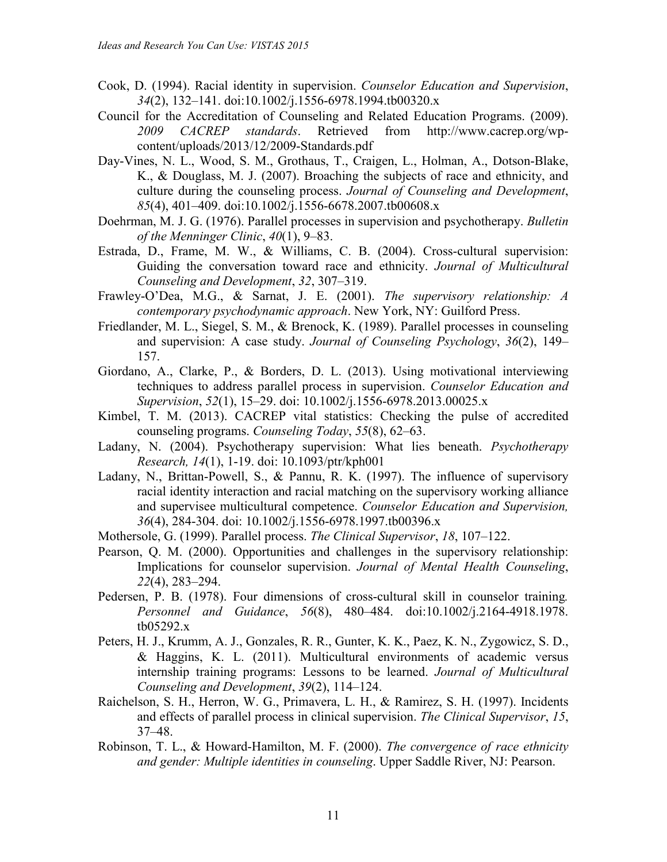- Cook, D. (1994). Racial identity in supervision. *Counselor Education and Supervision*, *34*(2), 132–141. doi:10.1002/j.1556-6978.1994.tb00320.x
- Council for the Accreditation of Counseling and Related Education Programs. (2009). *2009 CACREP standards*. Retrieved from http://www.cacrep.org/wpcontent/uploads/2013/12/2009-Standards.pdf
- Day-Vines, N. L., Wood, S. M., Grothaus, T., Craigen, L., Holman, A., Dotson-Blake, K., & Douglass, M. J. (2007). Broaching the subjects of race and ethnicity, and culture during the counseling process. *Journal of Counseling and Development*, *85*(4), 401–409. doi:10.1002/j.1556-6678.2007.tb00608.x
- Doehrman, M. J. G. (1976). Parallel processes in supervision and psychotherapy. *Bulletin of the Menninger Clinic*, *40*(1), 9–83.
- Estrada, D., Frame, M. W., & Williams, C. B. (2004). Cross-cultural supervision: Guiding the conversation toward race and ethnicity. *Journal of Multicultural Counseling and Development*, *32*, 307–319.
- Frawley-O'Dea, M.G., & Sarnat, J. E. (2001). *The supervisory relationship: A contemporary psychodynamic approach*. New York, NY: Guilford Press.
- Friedlander, M. L., Siegel, S. M., & Brenock, K. (1989). Parallel processes in counseling and supervision: A case study. *Journal of Counseling Psychology*, *36*(2), 149– 157.
- Giordano, A., Clarke, P., & Borders, D. L. (2013). Using motivational interviewing techniques to address parallel process in supervision. *Counselor Education and Supervision*, *52*(1), 15–29. doi: 10.1002/j.1556-6978.2013.00025.x
- Kimbel, T. M. (2013). CACREP vital statistics: Checking the pulse of accredited counseling programs. *Counseling Today*, *55*(8), 62–63.
- Ladany, N. (2004). Psychotherapy supervision: What lies beneath. *Psychotherapy Research, 14*(1), 1-19. doi: 10.1093/ptr/kph001
- Ladany, N., Brittan-Powell, S., & Pannu, R. K. (1997). The influence of supervisory racial identity interaction and racial matching on the supervisory working alliance and supervisee multicultural competence. *Counselor Education and Supervision, 36*(4), 284-304. doi: 10.1002/j.1556-6978.1997.tb00396.x
- Mothersole, G. (1999). Parallel process. *The Clinical Supervisor*, *18*, 107–122.
- Pearson, Q. M. (2000). Opportunities and challenges in the supervisory relationship: Implications for counselor supervision. *Journal of Mental Health Counseling*, *22*(4), 283–294.
- Pedersen, P. B. (1978). Four dimensions of cross-cultural skill in counselor training*. Personnel and Guidance*, *56*(8), 480–484. doi:10.1002/j.2164-4918.1978. tb05292.x
- Peters, H. J., Krumm, A. J., Gonzales, R. R., Gunter, K. K., Paez, K. N., Zygowicz, S. D., & Haggins, K. L. (2011). Multicultural environments of academic versus internship training programs: Lessons to be learned. *Journal of Multicultural Counseling and Development*, *39*(2), 114–124.
- Raichelson, S. H., Herron, W. G., Primavera, L. H., & Ramirez, S. H. (1997). Incidents and effects of parallel process in clinical supervision. *The Clinical Supervisor*, *15*, 37–48.
- Robinson, T. L., & Howard-Hamilton, M. F. (2000). *The convergence of race ethnicity and gender: Multiple identities in counseling*. Upper Saddle River, NJ: Pearson.